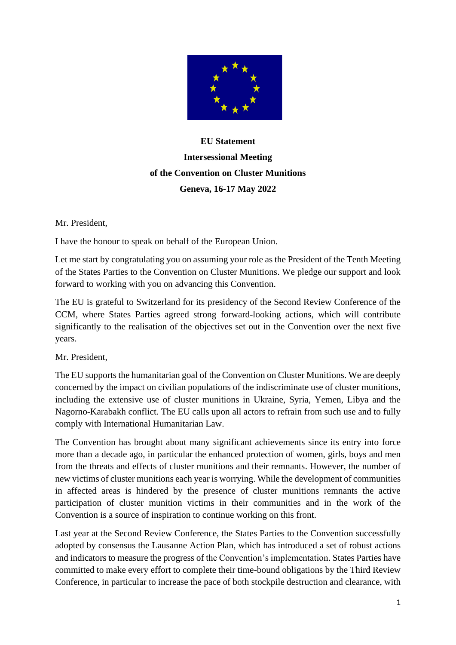

## **EU Statement Intersessional Meeting of the Convention on Cluster Munitions Geneva, 16-17 May 2022**

Mr. President,

I have the honour to speak on behalf of the European Union.

Let me start by congratulating you on assuming your role as the President of the Tenth Meeting of the States Parties to the Convention on Cluster Munitions. We pledge our support and look forward to working with you on advancing this Convention.

The EU is grateful to Switzerland for its presidency of the Second Review Conference of the CCM, where States Parties agreed strong forward-looking actions, which will contribute significantly to the realisation of the objectives set out in the Convention over the next five years.

Mr. President,

The EU supports the humanitarian goal of the Convention on Cluster Munitions. We are deeply concerned by the impact on civilian populations of the indiscriminate use of cluster munitions, including the extensive use of cluster munitions in Ukraine, Syria, Yemen, Libya and the Nagorno-Karabakh conflict. The EU calls upon all actors to refrain from such use and to fully comply with International Humanitarian Law.

The Convention has brought about many significant achievements since its entry into force more than a decade ago, in particular the enhanced protection of women, girls, boys and men from the threats and effects of cluster munitions and their remnants. However, the number of new victims of cluster munitions each year is worrying. While the development of communities in affected areas is hindered by the presence of cluster munitions remnants the active participation of cluster munition victims in their communities and in the work of the Convention is a source of inspiration to continue working on this front.

Last year at the Second Review Conference, the States Parties to the Convention successfully adopted by consensus the Lausanne Action Plan, which has introduced a set of robust actions and indicators to measure the progress of the Convention's implementation. States Parties have committed to make every effort to complete their time-bound obligations by the Third Review Conference, in particular to increase the pace of both stockpile destruction and clearance, with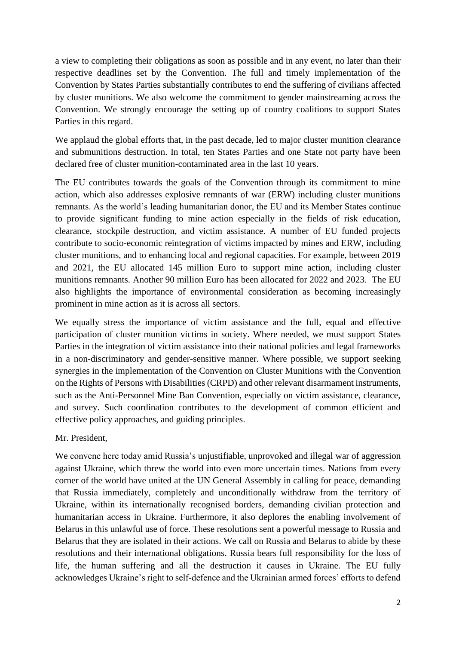a view to completing their obligations as soon as possible and in any event, no later than their respective deadlines set by the Convention. The full and timely implementation of the Convention by States Parties substantially contributes to end the suffering of civilians affected by cluster munitions. We also welcome the commitment to gender mainstreaming across the Convention. We strongly encourage the setting up of country coalitions to support States Parties in this regard.

We applaud the global efforts that, in the past decade, led to major cluster munition clearance and submunitions destruction. In total, ten States Parties and one State not party have been declared free of cluster munition-contaminated area in the last 10 years.

The EU contributes towards the goals of the Convention through its commitment to mine action, which also addresses explosive remnants of war (ERW) including cluster munitions remnants. As the world's leading humanitarian donor, the EU and its Member States continue to provide significant funding to mine action especially in the fields of risk education, clearance, stockpile destruction, and victim assistance. A number of EU funded projects contribute to socio-economic reintegration of victims impacted by mines and ERW, including cluster munitions, and to enhancing local and regional capacities. For example, between 2019 and 2021, the EU allocated 145 million Euro to support mine action, including cluster munitions remnants. Another 90 million Euro has been allocated for 2022 and 2023. The EU also highlights the importance of environmental consideration as becoming increasingly prominent in mine action as it is across all sectors.

We equally stress the importance of victim assistance and the full, equal and effective participation of cluster munition victims in society. Where needed, we must support States Parties in the integration of victim assistance into their national policies and legal frameworks in a non-discriminatory and gender-sensitive manner. Where possible, we support seeking synergies in the implementation of the Convention on Cluster Munitions with the Convention on the Rights of Persons with Disabilities (CRPD) and other relevant disarmament instruments, such as the Anti-Personnel Mine Ban Convention, especially on victim assistance, clearance, and survey. Such coordination contributes to the development of common efficient and effective policy approaches, and guiding principles.

Mr. President,

We convene here today amid Russia's unjustifiable, unprovoked and illegal war of aggression against Ukraine, which threw the world into even more uncertain times. Nations from every corner of the world have united at the UN General Assembly in calling for peace, demanding that Russia immediately, completely and unconditionally withdraw from the territory of Ukraine, within its internationally recognised borders, demanding civilian protection and humanitarian access in Ukraine. Furthermore, it also deplores the enabling involvement of Belarus in this unlawful use of force. These resolutions sent a powerful message to Russia and Belarus that they are isolated in their actions. We call on Russia and Belarus to abide by these resolutions and their international obligations. Russia bears full responsibility for the loss of life, the human suffering and all the destruction it causes in Ukraine. The EU fully acknowledges Ukraine's right to self-defence and the Ukrainian armed forces' efforts to defend